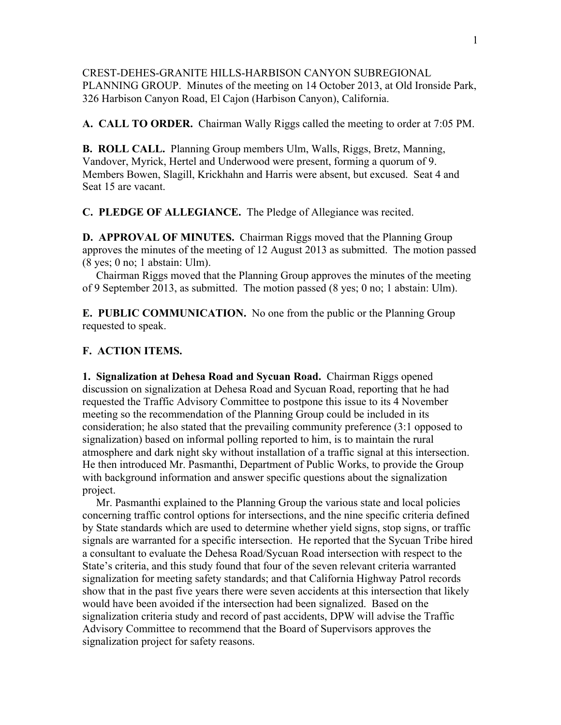CREST-DEHES-GRANITE HILLS-HARBISON CANYON SUBREGIONAL PLANNING GROUP. Minutes of the meeting on 14 October 2013, at Old Ironside Park, 326 Harbison Canyon Road, El Cajon (Harbison Canyon), California.

**A. CALL TO ORDER.** Chairman Wally Riggs called the meeting to order at 7:05 PM.

**B. ROLL CALL.** Planning Group members Ulm, Walls, Riggs, Bretz, Manning, Vandover, Myrick, Hertel and Underwood were present, forming a quorum of 9. Members Bowen, Slagill, Krickhahn and Harris were absent, but excused. Seat 4 and Seat 15 are vacant.

**C. PLEDGE OF ALLEGIANCE.** The Pledge of Allegiance was recited.

**D. APPROVAL OF MINUTES.** Chairman Riggs moved that the Planning Group approves the minutes of the meeting of 12 August 2013 as submitted. The motion passed (8 yes; 0 no; 1 abstain: Ulm).

 Chairman Riggs moved that the Planning Group approves the minutes of the meeting of 9 September 2013, as submitted. The motion passed (8 yes; 0 no; 1 abstain: Ulm).

**E. PUBLIC COMMUNICATION.** No one from the public or the Planning Group requested to speak.

## **F. ACTION ITEMS.**

**1. Signalization at Dehesa Road and Sycuan Road.** Chairman Riggs opened discussion on signalization at Dehesa Road and Sycuan Road, reporting that he had requested the Traffic Advisory Committee to postpone this issue to its 4 November meeting so the recommendation of the Planning Group could be included in its consideration; he also stated that the prevailing community preference (3:1 opposed to signalization) based on informal polling reported to him, is to maintain the rural atmosphere and dark night sky without installation of a traffic signal at this intersection. He then introduced Mr. Pasmanthi, Department of Public Works, to provide the Group with background information and answer specific questions about the signalization project.

 Mr. Pasmanthi explained to the Planning Group the various state and local policies concerning traffic control options for intersections, and the nine specific criteria defined by State standards which are used to determine whether yield signs, stop signs, or traffic signals are warranted for a specific intersection. He reported that the Sycuan Tribe hired a consultant to evaluate the Dehesa Road/Sycuan Road intersection with respect to the State's criteria, and this study found that four of the seven relevant criteria warranted signalization for meeting safety standards; and that California Highway Patrol records show that in the past five years there were seven accidents at this intersection that likely would have been avoided if the intersection had been signalized. Based on the signalization criteria study and record of past accidents, DPW will advise the Traffic Advisory Committee to recommend that the Board of Supervisors approves the signalization project for safety reasons.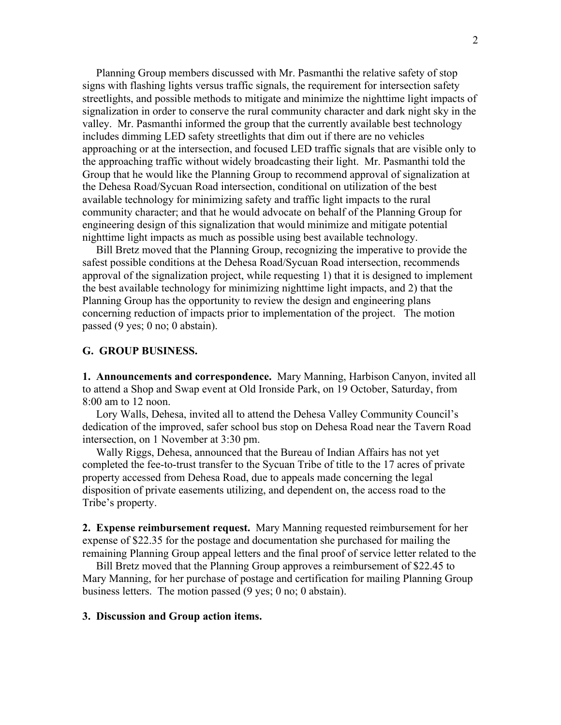Planning Group members discussed with Mr. Pasmanthi the relative safety of stop signs with flashing lights versus traffic signals, the requirement for intersection safety streetlights, and possible methods to mitigate and minimize the nighttime light impacts of signalization in order to conserve the rural community character and dark night sky in the valley. Mr. Pasmanthi informed the group that the currently available best technology includes dimming LED safety streetlights that dim out if there are no vehicles approaching or at the intersection, and focused LED traffic signals that are visible only to the approaching traffic without widely broadcasting their light. Mr. Pasmanthi told the Group that he would like the Planning Group to recommend approval of signalization at the Dehesa Road/Sycuan Road intersection, conditional on utilization of the best available technology for minimizing safety and traffic light impacts to the rural community character; and that he would advocate on behalf of the Planning Group for engineering design of this signalization that would minimize and mitigate potential nighttime light impacts as much as possible using best available technology.

 Bill Bretz moved that the Planning Group, recognizing the imperative to provide the safest possible conditions at the Dehesa Road/Sycuan Road intersection, recommends approval of the signalization project, while requesting 1) that it is designed to implement the best available technology for minimizing nighttime light impacts, and 2) that the Planning Group has the opportunity to review the design and engineering plans concerning reduction of impacts prior to implementation of the project. The motion passed (9 yes; 0 no; 0 abstain).

## **G. GROUP BUSINESS.**

**1. Announcements and correspondence.** Mary Manning, Harbison Canyon, invited all to attend a Shop and Swap event at Old Ironside Park, on 19 October, Saturday, from 8:00 am to 12 noon.

Lory Walls, Dehesa, invited all to attend the Dehesa Valley Community Council's dedication of the improved, safer school bus stop on Dehesa Road near the Tavern Road intersection, on 1 November at 3:30 pm.

 Wally Riggs, Dehesa, announced that the Bureau of Indian Affairs has not yet completed the fee-to-trust transfer to the Sycuan Tribe of title to the 17 acres of private property accessed from Dehesa Road, due to appeals made concerning the legal disposition of private easements utilizing, and dependent on, the access road to the Tribe's property.

**2. Expense reimbursement request.** Mary Manning requested reimbursement for her expense of \$22.35 for the postage and documentation she purchased for mailing the remaining Planning Group appeal letters and the final proof of service letter related to the

 Bill Bretz moved that the Planning Group approves a reimbursement of \$22.45 to Mary Manning, for her purchase of postage and certification for mailing Planning Group business letters. The motion passed (9 yes; 0 no; 0 abstain).

## **3. Discussion and Group action items.**